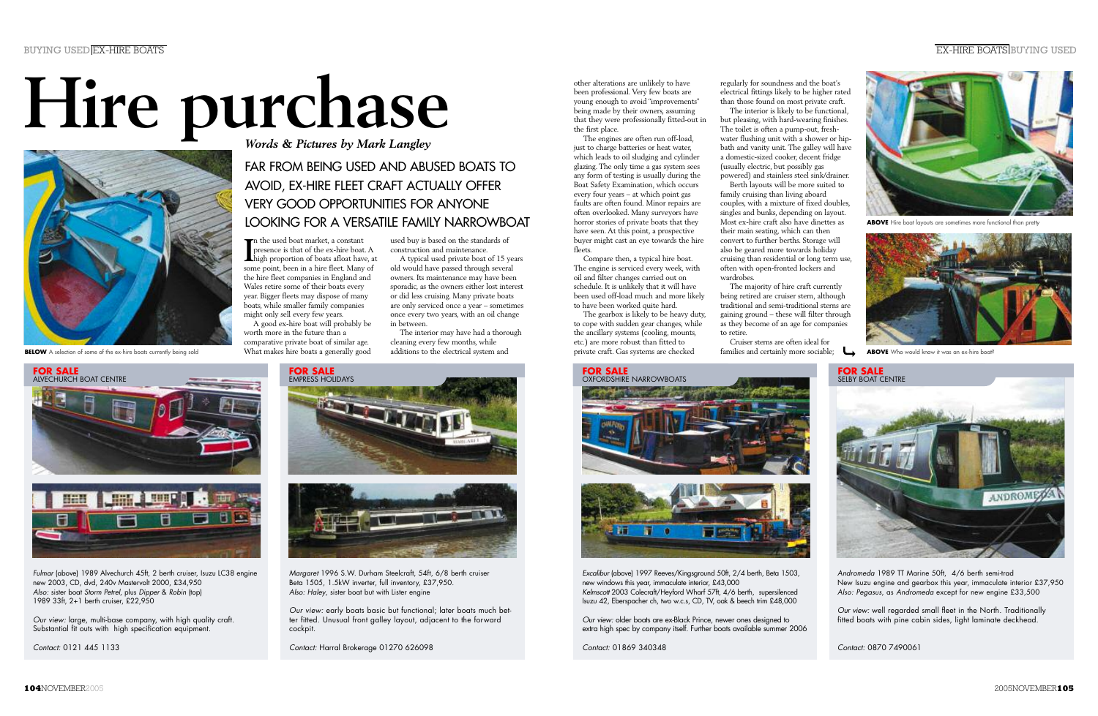*Andromeda* 1989 TT Marine 50ft, 4/6 berth semi-trad New Isuzu engine and gearbox this year, immaculate interior £37,950 *Also: Pegasus*, as *Andromeda* except for new engine £33,500

*Our view:* well regarded small fleet in the North. Traditionally fitted boats with pine cabin sides, light laminate deckhead.

*Contact:* 0870 7490061

In the used boat market, a constant<br>presence is that of the ex-hire boat. A<br>high proportion of boats afloat have, at<br>seems point heap in a hige float Many of **The used boat market, a constant** presence is that of the ex-hire boat. A some point, been in a hire fleet. Many of the hire fleet companies in England and Wales retire some of their boats every year. Bigger fleets may dispose of many boats, while smaller family companies might only sell every few years.

A good ex-hire boat will probably be worth more in the future than a comparative private boat of similar age. What makes hire boats a generally good

# BUYING USED|EX-HIRE BOATS EX-HIRE BOATS IS A SERVERTHED ON THE RESERVERTH ON THE BOATS BUYING USED FOR THE BOATS IS A SERVERTHED ON THE BOATS IS A SERVERTHED ON THE BOATS IS AND MALL THAT A SERVERTH ON THE BOATS IS A SERVE

used buy is based on the standards of construction and maintenance.

A typical used private boat of 15 years old would have passed through several owners. Its maintenance may have been sporadic, as the owners either lost interest or did less cruising. Many private boats are only serviced once a year – sometimes once every two years, with an oil change in between.

The interior may have had a thorough cleaning every few months, while additions to the electrical system and

other alterations are unlikely to have been professional. Very few boats are young enough to avoid "improvements" being made by their owners, assuming that they were professionally fitted-out in the first place.

The engines are often run off-load, just to charge batteries or heat water, which leads to oil sludging and cylinder glazing. The only time a gas system sees any form of testing is usually during the Boat Safety Examination, which occurs every four years – at which point gas faults are often found. Minor repairs are often overlooked. Many surveyors have horror stories of private boats that they have seen. At this point, a prospective buyer might cast an eye towards the hire fleets.

*Our view:* large, multi-base company, with high quality craft. Substantial fit outs with high specification equipment.

Compare then, a typical hire boat. The engine is serviced every week, with oil and filter changes carried out on schedule. It is unlikely that it will have been used off-load much and more likely to have been worked quite hard.

The gearbox is likely to be heavy duty, to cope with sudden gear changes, while the ancillary systems (cooling, mounts, etc.) are more robust than fitted to private craft. Gas systems are checked

regularly for soundness and the boat's electrical fittings likely to be higher rated than those found on most private craft. The interior is likely to be functional, but pleasing, with hard-wearing finishes. The toilet is often a pump-out, freshwater flushing unit with a shower or hipbath and vanity unit. The galley will have a domestic-sized cooker, decent fridge (usually electric, but possibly gas powered) and stainless steel sink/drainer. Berth layouts will be more suited to family cruising than living aboard couples, with a mixture of fixed doubles, singles and bunks, depending on layout. Most ex-hire craft also have dinettes as their main seating, which can then convert to further berths. Storage will also be geared more towards holiday cruising than residential or long term use, often with open-fronted lockers and

wardrobes.

The majority of hire craft currently being retired are cruiser stern, although traditional and semi-traditional sterns are gaining ground – these will filter through as they become of an age for companies

to retire.



Cruiser sterns are often ideal for families and certainly more sociable;



**ABOVE** Hire boat layouts are sometimes more functional than pretty



**ABOVE** Who would know it was an ex-hire boat?

# **Hire purchase**



**BELOW** A selection of some of the ex-hire boats currently being sold

*Words & Pictures by Mark Langley*





*Fulmar* (above) 1989 Alvechurch 45ft, 2 berth cruiser, Isuzu LC38 engine new 2003, CD, dvd, 240v Mastervolt 2000, £34,950 *Also:* sister boat *Storm Petrel*, plus *Dipper* & *Robin* (top) 1989 33ft, 2+1 berth cruiser, £22,950

*Contact:* 0121 445 1133



*Margaret* 1996 S.W. Durham Steelcraft, 54ft, 6/8 berth cruiser Beta 1505, 1.5kW inverter, full inventory, £37,950. *Also: Haley*, sister boat but with Lister engine

*Our view:* early boats basic but functional; later boats much better fitted. Unusual front galley layout, adjacent to the forward cockpit.

*Contact:* Harral Brokerage 01270 626098

*Excalibur* (above) 1997 Reeves/Kingsground 50ft, 2/4 berth, Beta 1503, new windows this year, immaculate interior, £43,000 *Kelmscott* 2003 Colecraft/Heyford Wharf 57ft, 4/6 berth, supersilenced Isuzu 42, Eberspacher ch, two w.c.s, CD, TV, oak & beech trim £48,000

*Our view:* older boats are ex-Black Prince, newer ones designed to extra high spec by company itself. Further boats available summer 2006

*Contact:* 01869 340348



# **FOR SALE**





FAR FROM BEING USED AND ABUSED BOATS TO AVOID, EX-HIRE FLEET CRAFT ACTUALLY OFFER VERY GOOD OPPORTUNITIES FOR ANYONE LOOKING FOR A VERSATILE FAMILY NARROWBOAT